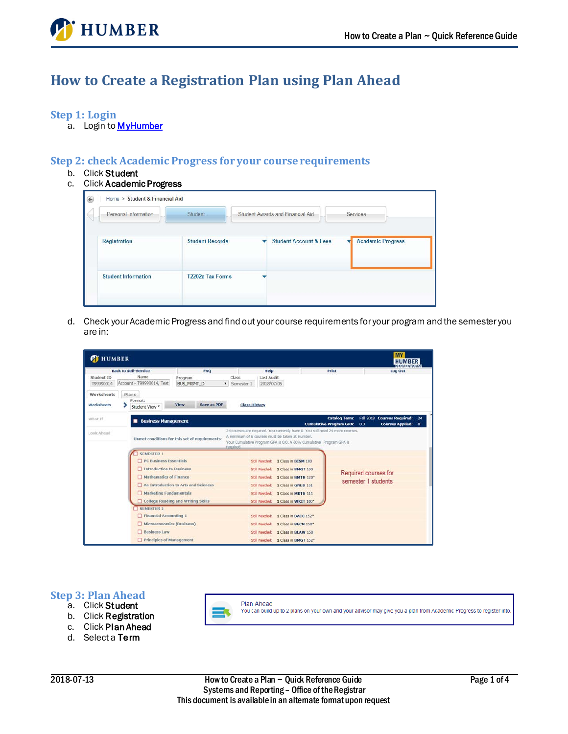

# **How to Create a Registration Plan using Plan Ahead**

### **Step 1: Login**

a. Login to **MyHumber** 

# **Step 2: check Academic Progress for your course requirements**

- b. Click Student
- c. Click Academic Progress

| Personal Information       | Student                 | Student Awards and Financial Aid  | Services                      |
|----------------------------|-------------------------|-----------------------------------|-------------------------------|
| Registration               | <b>Student Records</b>  | <b>Student Account &amp; Fees</b> | <b>Academic Progress</b><br>v |
| <b>Student Information</b> | <b>T2202a Tax Forms</b> |                                   |                               |

d. Check your Academic Progress and find out your course requirements for your program and the semester you are in:

| <b>C</b> HUMBER                                              | <b>Back to Self-Service</b>                               |                              | FAQ          |                                                                        | Help                            |                                                                                                                                                                                                          | Print                                                  | <b>HUMBER</b><br><b>Log Out</b>                                                     |  |  |  |
|--------------------------------------------------------------|-----------------------------------------------------------|------------------------------|--------------|------------------------------------------------------------------------|---------------------------------|----------------------------------------------------------------------------------------------------------------------------------------------------------------------------------------------------------|--------------------------------------------------------|-------------------------------------------------------------------------------------|--|--|--|
| Student ID<br>T99990014<br>Worksheets                        | Name<br>Account - T99990014, Test<br>Plans                | Program<br><b>BUS MGMT D</b> | $\mathbf{v}$ | Class<br>Semester 1                                                    | <b>Last Audit</b><br>2018/07/05 |                                                                                                                                                                                                          |                                                        |                                                                                     |  |  |  |
| <b>Worksheets</b>                                            | Format:<br>Student View                                   | View                         | Save as PDF  | <b>Class History</b>                                                   |                                 |                                                                                                                                                                                                          |                                                        |                                                                                     |  |  |  |
| What If                                                      | <b>Business Management</b>                                |                              |              |                                                                        |                                 |                                                                                                                                                                                                          | <b>Catalog Term:</b><br><b>Cumulative Program GPA:</b> | Fall 2018 Courses Required:<br>24<br><b>Courses Applied:</b><br>0.0<br>$\mathbf{0}$ |  |  |  |
| Look Ahead<br>Unmet conditions for this set of requirements: |                                                           |                              |              | required.                                                              |                                 | 24 courses are required. You currently have 0. You still need 24 more courses.<br>A minimum of 6 courses must be taken at Humber.<br>Your Cumulative Program GPA is 0.0, A 60% Cumulative Program GPA is |                                                        |                                                                                     |  |  |  |
|                                                              | <b>SEMESTER 1</b><br>$\Box$ PC Business Essentials        |                              |              |                                                                        |                                 |                                                                                                                                                                                                          |                                                        |                                                                                     |  |  |  |
|                                                              |                                                           |                              |              | Still Needed: 1 Class in BISM 100<br>Still Needed: 1 Class in BMGT 100 |                                 |                                                                                                                                                                                                          |                                                        |                                                                                     |  |  |  |
|                                                              |                                                           |                              |              |                                                                        |                                 |                                                                                                                                                                                                          |                                                        |                                                                                     |  |  |  |
|                                                              | Introduction to Business                                  |                              |              |                                                                        |                                 |                                                                                                                                                                                                          |                                                        | Required courses for                                                                |  |  |  |
|                                                              | Mathematics of Finance                                    |                              |              |                                                                        |                                 | Still Needed: 1 Class in BMTH 120*                                                                                                                                                                       |                                                        | semester 1 students                                                                 |  |  |  |
|                                                              | An Introduction to Arts and Sciences                      |                              |              |                                                                        |                                 | Still Needed: 1 Class in GNED 101                                                                                                                                                                        |                                                        |                                                                                     |  |  |  |
|                                                              | <b>Marketing Fundamentals</b>                             |                              |              |                                                                        |                                 | Still Needed: 1 Class in MKTG 111                                                                                                                                                                        |                                                        |                                                                                     |  |  |  |
|                                                              | □ College Reading and Writing Skills<br><b>SEMESTER 2</b> |                              |              |                                                                        |                                 | Still Needed: 1 Class in WRIT 100*                                                                                                                                                                       |                                                        |                                                                                     |  |  |  |
|                                                              | Financial Accounting 1                                    |                              |              |                                                                        |                                 | Still Needed: 1 Class in BACC 152*                                                                                                                                                                       |                                                        |                                                                                     |  |  |  |
|                                                              | Microeconomics (Business)                                 |                              |              |                                                                        |                                 | Still Needed: 1 Class in BECN 150*                                                                                                                                                                       |                                                        |                                                                                     |  |  |  |
|                                                              | <b>Business Law</b>                                       |                              |              |                                                                        |                                 | Still Needed: 1 Class in BLAW 150                                                                                                                                                                        |                                                        |                                                                                     |  |  |  |

**Plan Ahead** 

## **Step 3: Plan Ahead**

- a. Click Student
- b. Click Registration
- c. Click Plan Ahead
- d. Select a Term

You can build up to 2 plans on your own and your advisor may give you a plan from Academic Progress to register into.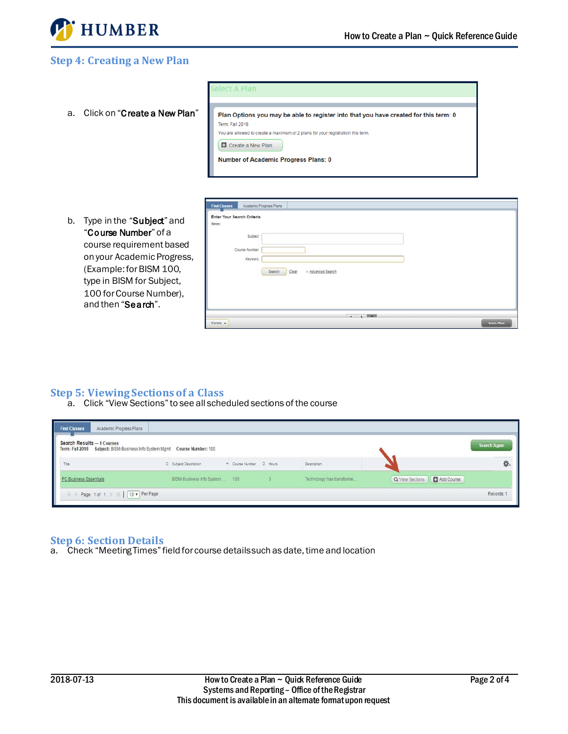

# **Step 4: Creating a New Plan**

|                                    | <b>Select A Plan</b>                                                                                                                                                                                                                                                    |
|------------------------------------|-------------------------------------------------------------------------------------------------------------------------------------------------------------------------------------------------------------------------------------------------------------------------|
| Click on "Create a New Plan"<br>a. | Plan Options you may be able to register into that you have created for this term: 0<br>Term: Fall 2018<br>You are allowed to create a maximum of 2 plans for your registration this term.<br><b>C</b> Create a New Plan<br><b>Number of Academic Progress Plans: 0</b> |
| Type in the "Subiect" and<br>b.    | Academic Progress Plans<br><b>Find Classes</b><br>Enter Your Search Criteria<br>Term:                                                                                                                                                                                   |

b. Type in the "Subject" and "Course Number" of a course requirement based on your Academic Progress, (Example: for BISM 100, type in BISM for Subject, 100 for Course Number), and then "Search".

| Enter Your Search Criteria<br>Term: |                                      |  |
|-------------------------------------|--------------------------------------|--|
| Subject                             |                                      |  |
| Course Number                       |                                      |  |
| Keyword                             |                                      |  |
|                                     | Search<br>> Advanced Search<br>Clear |  |
|                                     |                                      |  |
|                                     |                                      |  |
|                                     |                                      |  |
|                                     |                                      |  |

# **Step 5: Viewing Sections of a Class**

a. Click "View Sections" to see all scheduled sections of the course

| Academic Progress Plans<br><b>Find Classes</b>                                                           |                               |                         |                            |                               |              |
|----------------------------------------------------------------------------------------------------------|-------------------------------|-------------------------|----------------------------|-------------------------------|--------------|
| Search Results - 1 Courses<br>Term: Fall 2018 Subject: BISM-Business Info System Mgmt Course Number: 100 |                               |                         |                            |                               | Search Again |
| Title                                                                                                    | C Subject Description         | Course Number : C Hours | Description                |                               |              |
| PC Business Essentials                                                                                   | BISM-Business Info System 100 |                         | Technology has transforme. | Add Course<br>Q View Sections |              |
| Page 1 of 1         10   Per Page                                                                        |                               |                         |                            |                               | Records: 1   |

#### **Step 6: Section Details**

a. Check "Meeting Times" field for course details such as date, time and location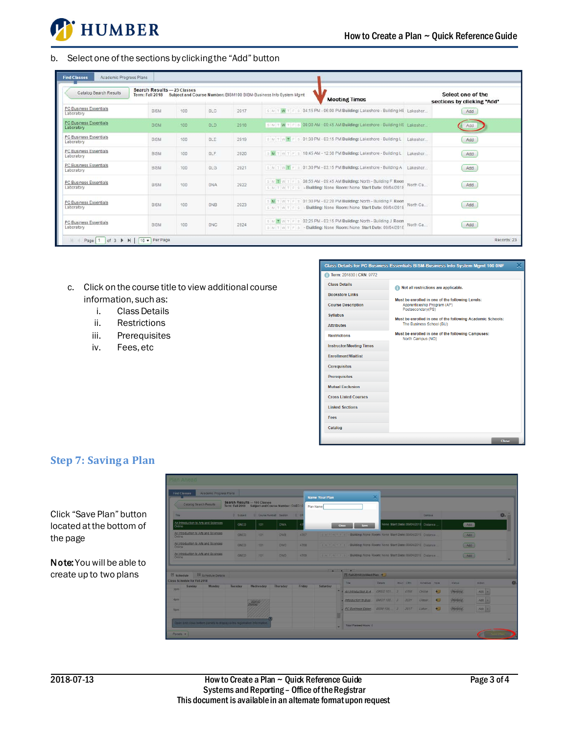

#### b. Select one of the sections by clicking the "Add" button

| Catalog Search Results                      | Search Results - 23 Classes<br>Term: Fall 2018 Subject and Course Number: BISM100 BISM-Business Info System Mgmt | Select one of the<br>sections by clicking "Add" |            |      |                                                                                                                                       |           |     |
|---------------------------------------------|------------------------------------------------------------------------------------------------------------------|-------------------------------------------------|------------|------|---------------------------------------------------------------------------------------------------------------------------------------|-----------|-----|
| PC Business Essentials<br>Laboratory        | <b>BISM</b>                                                                                                      | 100                                             | <b>OLC</b> | 2917 | SMTWTFS0415PM-06:00PMBuilding: Lakeshore - Building HE Lakeshor                                                                       |           | Add |
| PC Business Essentials<br>Laboratory        | <b>BISM</b>                                                                                                      | 100                                             | <b>DLD</b> | 2918 | SIMIT WITH SIDB:00 AM - 09:45 AM Building: Lakeshore - Building HE Lakeshor                                                           |           | Add |
| <b>PC Business Essentials</b><br>Laboratory | <b>BISM</b>                                                                                                      | 100                                             | <b>OLE</b> | 2919 | SIM TIW T F S 01:30 PM - 03:15 PM Building: Lakeshore - Building L Lakeshor                                                           |           | Add |
| PC Business Essentials<br>Laboratory        | <b>BISM</b>                                                                                                      | 100                                             | OLF.       | 2920 | $S$ M T W T F $\leq$ 10:45 AM - 12:30 PM Building: Lakeshore - Building L                                                             | Lakeshor  | Add |
| PC Business Essentials<br>Laboratory        | BISM                                                                                                             | 100                                             | OLG        | 2921 | SIMITIWT PIS 01:30 PM - 03:15 PM Building: Lakeshore - Building A Lakeshor                                                            |           | Add |
| PC Business Essentials<br>Laboratory        | <b>BISM</b>                                                                                                      | 100                                             | <b>ONA</b> | 2922 | S M T W T F S 08:55 AM - 09:45 AM Building: North - Building F Roon<br>SWITWITES - Building: None Room: None Start Date: 09/04/2018   | North Ca. | Add |
| PC Business Essentials<br>Laboratory        | BISM                                                                                                             | 100                                             | ONB        | 2923 | s w T w T F S 01:30 PM - 02:20 PM Building: North - Building F Roon<br>S MIT WITES - Building: None Room: None Start Date: 09/04/2018 | North Ca. | Add |
| PC Business Essentials<br>Laboratory        | BISM                                                                                                             | 100                                             | ONC        | 2924 | S M T W T F S 02:25 PM - 03:15 PM Building: North - Building J Room<br>SMTWTFS-Building: None Room: None Start Date: 09/04/2018       | North Ca. | Add |

- c. Click on the course title to view additional course information, such as:
	- i. Class Details
	- ii. Restrictions
	- iii. Prerequisites
	- iv. Fees, etc

#### Class Details for PC Business Essentials BISM-Business Info System Mgmt 100 ONF Term: 201830 | CRN: 9772 **Class Details** Not all restrictions are applicable. **Bookstore Links** Must be enrolled in one of the following Levels: **Course Description** Apprenticeship Program (AP)<br>Postsecondary (PS) Syllabus Must be enrolled in one of the following Academic Schools: Attributes The Business School (BU) Must be enrolled in one of the following Campuses: Restrictions North Campus (NO) **Instructor/Meeting Times** Enrollment/Waitlist Coreguisites Prerequisites **Mutual Exclusion Cross Listed Courses Linked Sections** Fees Catalog

# **Step 7: Saving a Plan**

Click "Save Plan" button located at the bottom of the page

Note: You will be able to create up to two plans

| Find Classes                                                                                | Academic Progress Plans |                   |                                                                                   |                 |        | <b>Name Your Plan</b>                                                          |       |                                                                     | $\infty$        |  |            |                                      |                |         |                    |    |
|---------------------------------------------------------------------------------------------|-------------------------|-------------------|-----------------------------------------------------------------------------------|-----------------|--------|--------------------------------------------------------------------------------|-------|---------------------------------------------------------------------|-----------------|--|------------|--------------------------------------|----------------|---------|--------------------|----|
| Catalog Search Results                                                                      |                         |                   | Search Results - 106 Classes<br>Term: Fall 2018 Subject and Course Number: GNED10 |                 |        | Plan Name                                                                      |       |                                                                     |                 |  |            |                                      |                |         |                    |    |
| Title:                                                                                      |                         | <b>C</b> Subject: | Course Number Section C CR                                                        |                 |        |                                                                                |       |                                                                     |                 |  |            | Campus                               |                |         |                    | 诶. |
| An Introduction to Arts and Sciences<br>Online                                              |                         | GNED              | 101                                                                               | <b>DWA</b>      |        |                                                                                | Close | Save                                                                |                 |  |            | None Start Date: 09/04/2018 Distance |                | Add     |                    |    |
| An Introduction to Arts and Sciences<br>GNED<br><b>101</b><br><b>DWB</b><br>4767<br>Online. |                         |                   |                                                                                   |                 |        | Salar With Building: None Room: None Start Date: 09/04/2016 Distance           |       |                                                                     |                 |  |            |                                      |                |         | Add                |    |
| An Introduction to Arts and Sciences<br><b>GNED</b><br>101<br><b>DWC</b><br>Online          |                         |                   |                                                                                   |                 | 4768   | EM TWTFF By Building: None Room: None Start Date: 09/04/2018 Distance<br>(Add) |       |                                                                     |                 |  |            |                                      |                |         |                    |    |
| An Introduction to Arts and Sciences<br><b>Online</b>                                       |                         | GNED              | 101                                                                               | <b>OWD</b>      | 4769   | ENTWITE - Building: None Room: None Start Date: 09/04/2018 Distance<br>(Add)   |       |                                                                     |                 |  |            |                                      |                |         |                    |    |
| <b>Ill</b> Schedule Details<br>Schedule                                                     |                         |                   |                                                                                   |                 |        |                                                                                |       | <b>Contract Contract Contract</b><br>Fill Fall 2018 Untitled Plan + |                 |  |            |                                      |                |         |                    |    |
| Class Schedule for Fall 2018<br>Sunday                                                      | Monday                  | Tuesday           | Wednesday                                                                         | <b>Thursday</b> | Friday | <b>Saturday</b>                                                                |       | Title                                                               | Details         |  | Hourt, CRN | Schedule Note                        |                | Status- | Action             |    |
| 30 <sub>m</sub>                                                                             |                         |                   |                                                                                   |                 |        |                                                                                |       | An introduction to A.                                               | GNED 101 3 4766 |  |            | Online                               | $+1$           | Pending | $Ad\alpha$ $=$     |    |
| 4 <sub>pm</sub>                                                                             |                         |                   | <b>BSW0</b>                                                                       |                 |        |                                                                                |       | - Introduction to Busi                                              | BMGT 100. 3     |  | 3031       | Classr.                              | $+$            | Pending | $Ad\sigma$ $*$     |    |
| 5pm                                                                                         |                         |                   |                                                                                   |                 |        |                                                                                |       | PC Business Essen. BISM 100. 3 2917                                 |                 |  |            | Labor.                               | $\overline{t}$ | Pending | $Ad\overline{o}$ = |    |
|                                                                                             |                         |                   |                                                                                   |                 |        |                                                                                |       |                                                                     |                 |  |            |                                      |                |         |                    |    |
|                                                                                             |                         |                   | Open and close bottom panels to display extra registration information.           |                 |        |                                                                                |       |                                                                     |                 |  |            |                                      |                |         |                    |    |